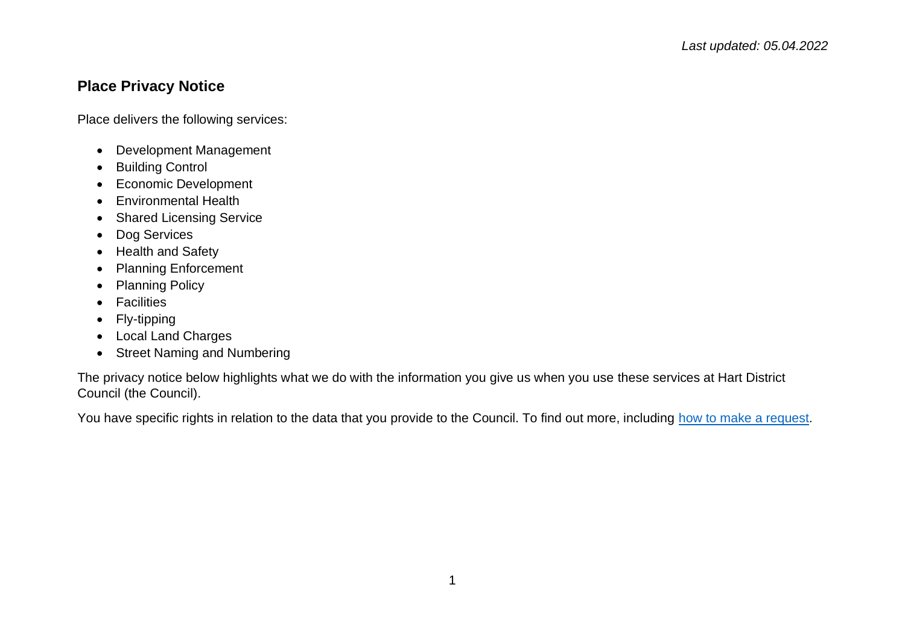## **Place Privacy Notice**

Place delivers the following services:

- Development Management
- Building Control
- Economic Development
- Environmental Health
- Shared Licensing Service
- Dog Services
- Health and Safety
- Planning Enforcement
- Planning Policy
- Facilities
- Fly-tipping
- Local Land Charges
- Street Naming and Numbering

The privacy notice below highlights what we do with the information you give us when you use these services at Hart District Council (the Council).

You have specific rights in relation to the data that you provide to the Council. To find out more, including [how to make a request.](https://www.hart.gov.uk/right-to-know)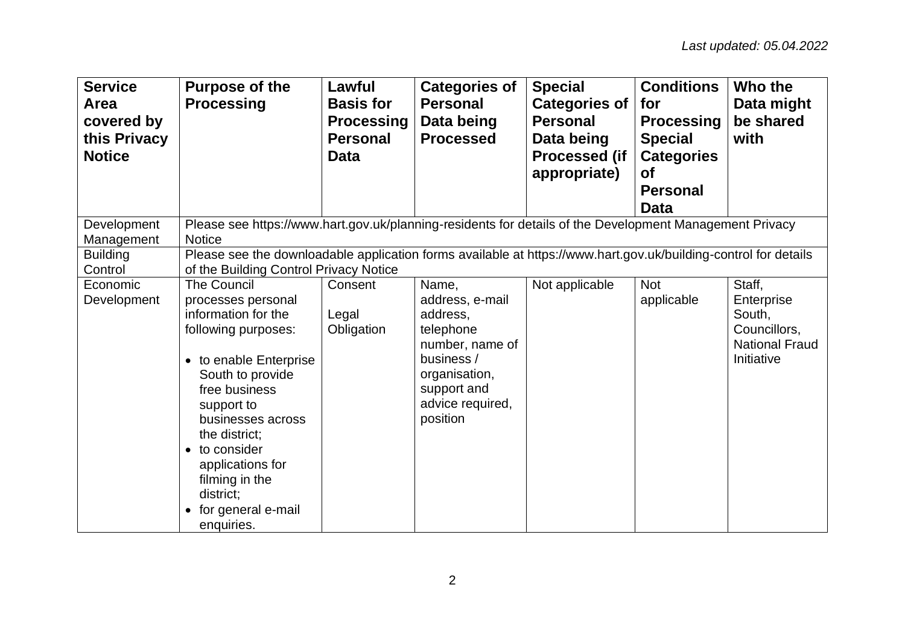| <b>Service</b><br>Area<br>covered by<br>this Privacy<br><b>Notice</b> | <b>Purpose of the</b><br><b>Processing</b>                                                                                                                                                                                                                                                                        | Lawful<br><b>Basis for</b><br><b>Processing</b><br><b>Personal</b><br>Data | <b>Categories of</b><br><b>Personal</b><br>Data being<br><b>Processed</b>                                                                          | <b>Special</b><br><b>Categories of</b><br><b>Personal</b><br>Data being<br><b>Processed (if</b><br>appropriate) | <b>Conditions</b><br>for<br><b>Processing</b><br><b>Special</b><br><b>Categories</b><br><b>of</b><br><b>Personal</b><br><b>Data</b> | Who the<br>Data might<br>be shared<br>with                                            |  |  |
|-----------------------------------------------------------------------|-------------------------------------------------------------------------------------------------------------------------------------------------------------------------------------------------------------------------------------------------------------------------------------------------------------------|----------------------------------------------------------------------------|----------------------------------------------------------------------------------------------------------------------------------------------------|-----------------------------------------------------------------------------------------------------------------|-------------------------------------------------------------------------------------------------------------------------------------|---------------------------------------------------------------------------------------|--|--|
| Development<br>Management                                             | Please see https://www.hart.gov.uk/planning-residents for details of the Development Management Privacy<br><b>Notice</b>                                                                                                                                                                                          |                                                                            |                                                                                                                                                    |                                                                                                                 |                                                                                                                                     |                                                                                       |  |  |
| <b>Building</b><br>Control                                            | Please see the downloadable application forms available at https://www.hart.gov.uk/building-control for details<br>of the Building Control Privacy Notice                                                                                                                                                         |                                                                            |                                                                                                                                                    |                                                                                                                 |                                                                                                                                     |                                                                                       |  |  |
| Economic<br>Development                                               | <b>The Council</b><br>processes personal<br>information for the<br>following purposes:<br>• to enable Enterprise<br>South to provide<br>free business<br>support to<br>businesses across<br>the district;<br>• to consider<br>applications for<br>filming in the<br>district;<br>for general e-mail<br>enquiries. | Consent<br>Legal<br>Obligation                                             | Name,<br>address, e-mail<br>address,<br>telephone<br>number, name of<br>business /<br>organisation,<br>support and<br>advice required,<br>position | Not applicable                                                                                                  | <b>Not</b><br>applicable                                                                                                            | Staff,<br>Enterprise<br>South,<br>Councillors,<br><b>National Fraud</b><br>Initiative |  |  |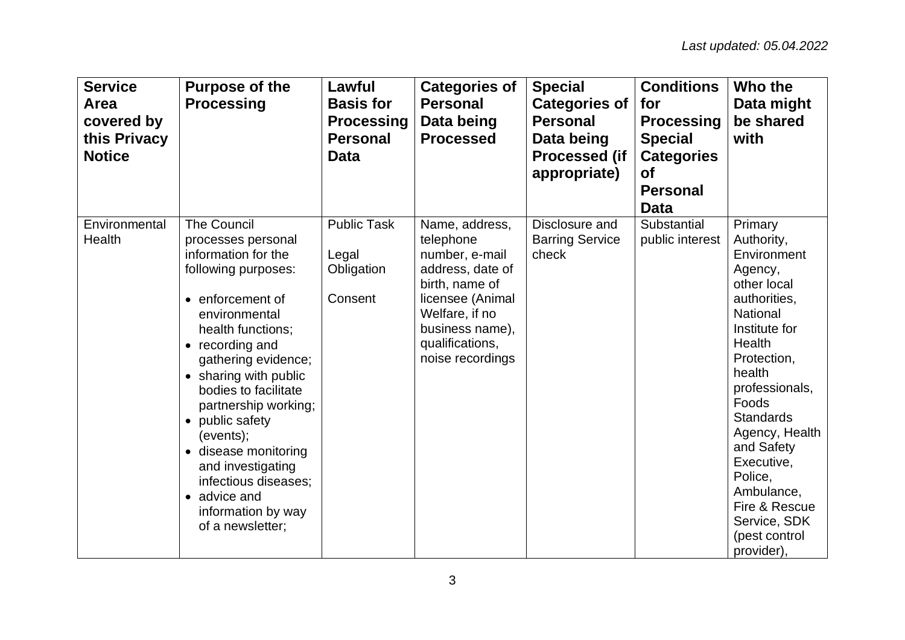| <b>Service</b><br>Area<br>covered by<br>this Privacy<br><b>Notice</b> | <b>Purpose of the</b><br><b>Processing</b>                                                                                                                                                                                                                                                                                                                                                                                         | Lawful<br><b>Basis for</b><br><b>Processing</b><br><b>Personal</b><br>Data | <b>Categories of</b><br><b>Personal</b><br>Data being<br><b>Processed</b>                                                                                                           | <b>Special</b><br><b>Categories of</b><br><b>Personal</b><br>Data being<br><b>Processed (if</b><br>appropriate) | <b>Conditions</b><br>for<br><b>Processing</b><br><b>Special</b><br><b>Categories</b><br><b>of</b><br><b>Personal</b><br><b>Data</b> | Who the<br>Data might<br>be shared<br>with                                                                                                                                                                                                                                                                                           |
|-----------------------------------------------------------------------|------------------------------------------------------------------------------------------------------------------------------------------------------------------------------------------------------------------------------------------------------------------------------------------------------------------------------------------------------------------------------------------------------------------------------------|----------------------------------------------------------------------------|-------------------------------------------------------------------------------------------------------------------------------------------------------------------------------------|-----------------------------------------------------------------------------------------------------------------|-------------------------------------------------------------------------------------------------------------------------------------|--------------------------------------------------------------------------------------------------------------------------------------------------------------------------------------------------------------------------------------------------------------------------------------------------------------------------------------|
| Environmental<br>Health                                               | <b>The Council</b><br>processes personal<br>information for the<br>following purposes:<br>• enforcement of<br>environmental<br>health functions;<br>• recording and<br>gathering evidence;<br>• sharing with public<br>bodies to facilitate<br>partnership working;<br>• public safety<br>(events);<br>• disease monitoring<br>and investigating<br>infectious diseases;<br>• advice and<br>information by way<br>of a newsletter; | <b>Public Task</b><br>Legal<br>Obligation<br>Consent                       | Name, address,<br>telephone<br>number, e-mail<br>address, date of<br>birth, name of<br>licensee (Animal<br>Welfare, if no<br>business name),<br>qualifications,<br>noise recordings | Disclosure and<br><b>Barring Service</b><br>check                                                               | Substantial<br>public interest                                                                                                      | Primary<br>Authority,<br>Environment<br>Agency,<br>other local<br>authorities,<br>National<br>Institute for<br>Health<br>Protection,<br>health<br>professionals,<br>Foods<br><b>Standards</b><br>Agency, Health<br>and Safety<br>Executive,<br>Police,<br>Ambulance,<br>Fire & Rescue<br>Service, SDK<br>(pest control<br>provider), |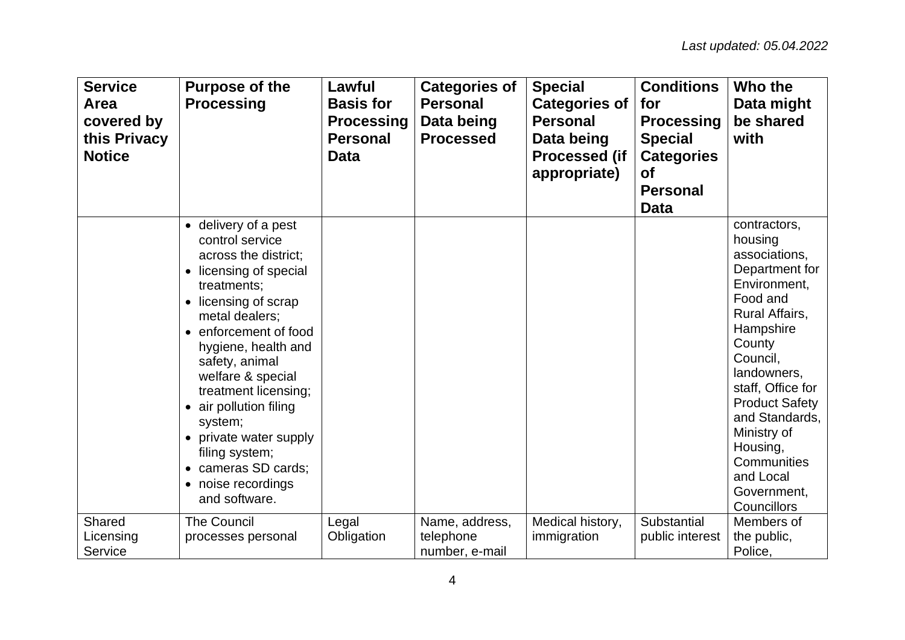| <b>Service</b><br>Area<br>covered by<br>this Privacy<br><b>Notice</b> | <b>Purpose of the</b><br><b>Processing</b>                                                                                                                                                                                                                                                                                                                                                                       | Lawful<br><b>Basis for</b><br><b>Processing</b><br><b>Personal</b><br>Data | <b>Categories of</b><br><b>Personal</b><br>Data being<br><b>Processed</b> | <b>Special</b><br><b>Categories of</b><br><b>Personal</b><br>Data being<br><b>Processed (if</b><br>appropriate) | <b>Conditions</b><br>for<br><b>Processing</b><br><b>Special</b><br><b>Categories</b><br><b>of</b><br><b>Personal</b><br><b>Data</b> | Who the<br>Data might<br>be shared<br>with                                                                                                                                                                                                                                                                      |
|-----------------------------------------------------------------------|------------------------------------------------------------------------------------------------------------------------------------------------------------------------------------------------------------------------------------------------------------------------------------------------------------------------------------------------------------------------------------------------------------------|----------------------------------------------------------------------------|---------------------------------------------------------------------------|-----------------------------------------------------------------------------------------------------------------|-------------------------------------------------------------------------------------------------------------------------------------|-----------------------------------------------------------------------------------------------------------------------------------------------------------------------------------------------------------------------------------------------------------------------------------------------------------------|
|                                                                       | • delivery of a pest<br>control service<br>across the district;<br>• licensing of special<br>treatments;<br>• licensing of scrap<br>metal dealers;<br>• enforcement of food<br>hygiene, health and<br>safety, animal<br>welfare & special<br>treatment licensing;<br>• air pollution filing<br>system;<br>• private water supply<br>filing system;<br>• cameras SD cards;<br>• noise recordings<br>and software. |                                                                            |                                                                           |                                                                                                                 |                                                                                                                                     | contractors,<br>housing<br>associations,<br>Department for<br>Environment,<br>Food and<br>Rural Affairs,<br>Hampshire<br>County<br>Council,<br>landowners,<br>staff, Office for<br><b>Product Safety</b><br>and Standards,<br>Ministry of<br>Housing,<br>Communities<br>and Local<br>Government,<br>Councillors |
| Shared<br>Licensing<br>Service                                        | <b>The Council</b><br>processes personal                                                                                                                                                                                                                                                                                                                                                                         | Legal<br>Obligation                                                        | Name, address,<br>telephone<br>number, e-mail                             | Medical history,<br>immigration                                                                                 | Substantial<br>public interest                                                                                                      | Members of<br>the public,<br>Police,                                                                                                                                                                                                                                                                            |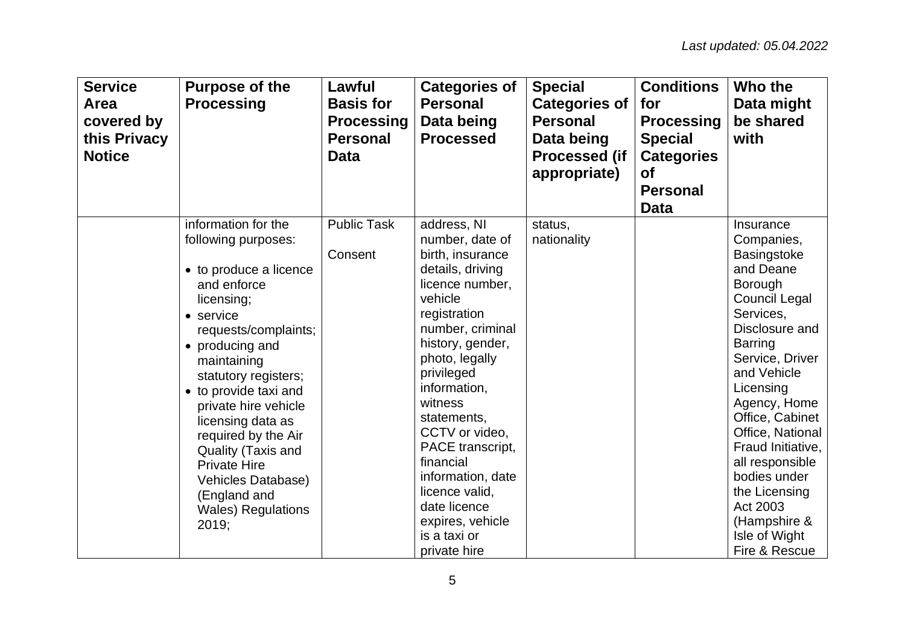| <b>Service</b><br>Area<br>covered by<br>this Privacy<br><b>Notice</b> | <b>Purpose of the</b><br><b>Processing</b>                                                                                                                                                                                                                                                                                                                                                                             | Lawful<br><b>Basis for</b><br><b>Processing</b><br><b>Personal</b><br><b>Data</b> | <b>Categories of</b><br><b>Personal</b><br>Data being<br><b>Processed</b>                                                                                                                                                                                                                                                                                                                            | <b>Special</b><br><b>Categories of</b><br><b>Personal</b><br>Data being<br><b>Processed (if</b><br>appropriate) | <b>Conditions</b><br>for<br><b>Processing</b><br><b>Special</b><br><b>Categories</b><br><b>of</b><br><b>Personal</b><br><b>Data</b> | Who the<br>Data might<br>be shared<br>with                                                                                                                                                                                                                                                                                                                                                  |
|-----------------------------------------------------------------------|------------------------------------------------------------------------------------------------------------------------------------------------------------------------------------------------------------------------------------------------------------------------------------------------------------------------------------------------------------------------------------------------------------------------|-----------------------------------------------------------------------------------|------------------------------------------------------------------------------------------------------------------------------------------------------------------------------------------------------------------------------------------------------------------------------------------------------------------------------------------------------------------------------------------------------|-----------------------------------------------------------------------------------------------------------------|-------------------------------------------------------------------------------------------------------------------------------------|---------------------------------------------------------------------------------------------------------------------------------------------------------------------------------------------------------------------------------------------------------------------------------------------------------------------------------------------------------------------------------------------|
|                                                                       | information for the<br>following purposes:<br>• to produce a licence<br>and enforce<br>licensing;<br>• service<br>requests/complaints;<br>• producing and<br>maintaining<br>statutory registers;<br>• to provide taxi and<br>private hire vehicle<br>licensing data as<br>required by the Air<br>Quality (Taxis and<br><b>Private Hire</b><br>Vehicles Database)<br>(England and<br><b>Wales) Regulations</b><br>2019; | <b>Public Task</b><br>Consent                                                     | address, NI<br>number, date of<br>birth, insurance<br>details, driving<br>licence number,<br>vehicle<br>registration<br>number, criminal<br>history, gender,<br>photo, legally<br>privileged<br>information,<br>witness<br>statements,<br>CCTV or video,<br>PACE transcript,<br>financial<br>information, date<br>licence valid,<br>date licence<br>expires, vehicle<br>is a taxi or<br>private hire | status,<br>nationality                                                                                          |                                                                                                                                     | Insurance<br>Companies,<br><b>Basingstoke</b><br>and Deane<br>Borough<br><b>Council Legal</b><br>Services,<br>Disclosure and<br><b>Barring</b><br>Service, Driver<br>and Vehicle<br>Licensing<br>Agency, Home<br>Office, Cabinet<br>Office, National<br>Fraud Initiative,<br>all responsible<br>bodies under<br>the Licensing<br>Act 2003<br>(Hampshire &<br>Isle of Wight<br>Fire & Rescue |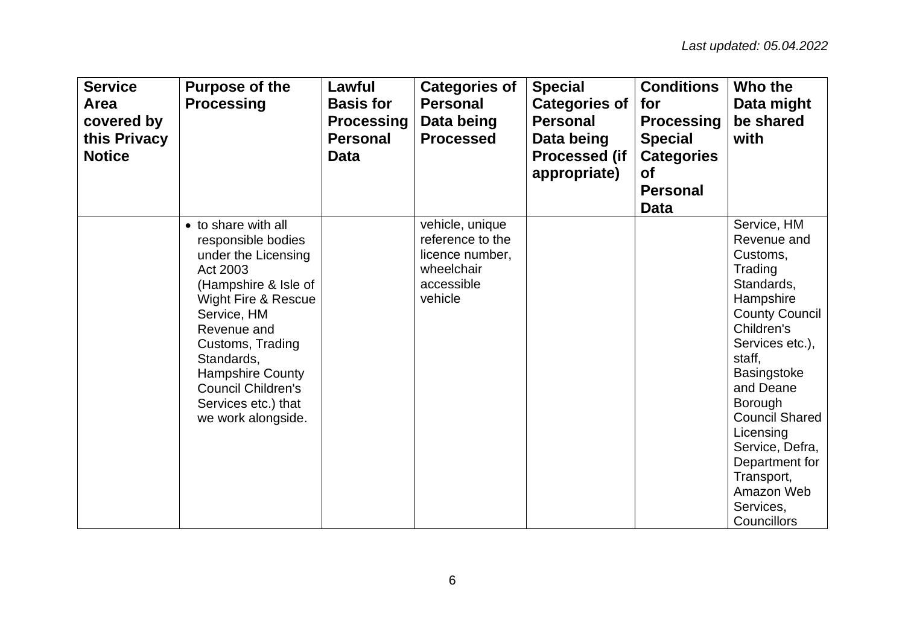| <b>Service</b><br>Area<br>covered by<br>this Privacy<br><b>Notice</b> | <b>Purpose of the</b><br><b>Processing</b>                                                                                                                                                                                                                                                                  | Lawful<br><b>Basis for</b><br><b>Processing</b><br><b>Personal</b><br><b>Data</b> | <b>Categories of</b><br><b>Personal</b><br>Data being<br><b>Processed</b>                     | <b>Special</b><br><b>Categories of</b><br><b>Personal</b><br>Data being<br><b>Processed (if</b><br>appropriate) | <b>Conditions</b><br>for<br><b>Processing</b><br><b>Special</b><br><b>Categories</b><br><b>of</b><br><b>Personal</b><br><b>Data</b> | Who the<br>Data might<br>be shared<br>with                                                                                                                                                                                                                                                                                                      |
|-----------------------------------------------------------------------|-------------------------------------------------------------------------------------------------------------------------------------------------------------------------------------------------------------------------------------------------------------------------------------------------------------|-----------------------------------------------------------------------------------|-----------------------------------------------------------------------------------------------|-----------------------------------------------------------------------------------------------------------------|-------------------------------------------------------------------------------------------------------------------------------------|-------------------------------------------------------------------------------------------------------------------------------------------------------------------------------------------------------------------------------------------------------------------------------------------------------------------------------------------------|
|                                                                       | • to share with all<br>responsible bodies<br>under the Licensing<br>Act 2003<br>(Hampshire & Isle of<br><b>Wight Fire &amp; Rescue</b><br>Service, HM<br>Revenue and<br>Customs, Trading<br>Standards,<br><b>Hampshire County</b><br><b>Council Children's</b><br>Services etc.) that<br>we work alongside. |                                                                                   | vehicle, unique<br>reference to the<br>licence number,<br>wheelchair<br>accessible<br>vehicle |                                                                                                                 |                                                                                                                                     | Service, HM<br>Revenue and<br>Customs,<br>Trading<br>Standards,<br>Hampshire<br><b>County Council</b><br>Children's<br>Services etc.),<br>staff,<br><b>Basingstoke</b><br>and Deane<br><b>Borough</b><br><b>Council Shared</b><br>Licensing<br>Service, Defra,<br>Department for<br>Transport,<br>Amazon Web<br>Services,<br><b>Councillors</b> |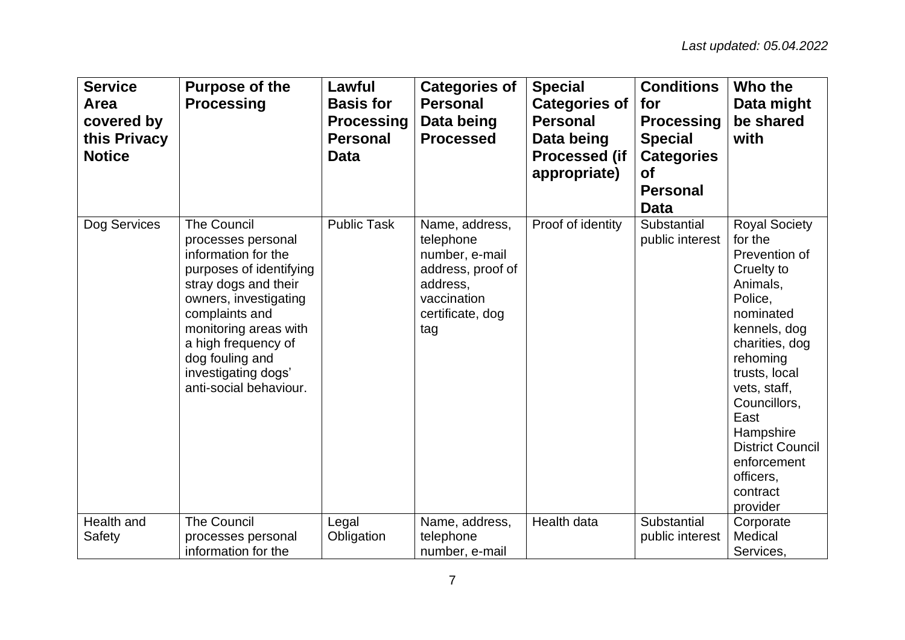| <b>Service</b><br>Area<br>covered by<br>this Privacy<br><b>Notice</b> | <b>Purpose of the</b><br><b>Processing</b>                                                                                                                                                                                                                                        | Lawful<br><b>Basis for</b><br><b>Processing</b><br><b>Personal</b><br><b>Data</b> | <b>Categories of</b><br><b>Personal</b><br>Data being<br><b>Processed</b>                                                | <b>Special</b><br><b>Categories of</b><br><b>Personal</b><br>Data being<br><b>Processed (if</b><br>appropriate) | <b>Conditions</b><br>for<br><b>Processing</b><br><b>Special</b><br><b>Categories</b><br><b>of</b><br><b>Personal</b><br><b>Data</b> | Who the<br>Data might<br>be shared<br>with                                                                                                                                                                                                                                                            |
|-----------------------------------------------------------------------|-----------------------------------------------------------------------------------------------------------------------------------------------------------------------------------------------------------------------------------------------------------------------------------|-----------------------------------------------------------------------------------|--------------------------------------------------------------------------------------------------------------------------|-----------------------------------------------------------------------------------------------------------------|-------------------------------------------------------------------------------------------------------------------------------------|-------------------------------------------------------------------------------------------------------------------------------------------------------------------------------------------------------------------------------------------------------------------------------------------------------|
| Dog Services                                                          | <b>The Council</b><br>processes personal<br>information for the<br>purposes of identifying<br>stray dogs and their<br>owners, investigating<br>complaints and<br>monitoring areas with<br>a high frequency of<br>dog fouling and<br>investigating dogs'<br>anti-social behaviour. | <b>Public Task</b>                                                                | Name, address,<br>telephone<br>number, e-mail<br>address, proof of<br>address,<br>vaccination<br>certificate, dog<br>tag | Proof of identity                                                                                               | Substantial<br>public interest                                                                                                      | <b>Royal Society</b><br>for the<br>Prevention of<br>Cruelty to<br>Animals,<br>Police.<br>nominated<br>kennels, dog<br>charities, dog<br>rehoming<br>trusts, local<br>vets, staff,<br>Councillors,<br>East<br>Hampshire<br><b>District Council</b><br>enforcement<br>officers,<br>contract<br>provider |
| Health and<br>Safety                                                  | <b>The Council</b><br>processes personal<br>information for the                                                                                                                                                                                                                   | Legal<br>Obligation                                                               | Name, address,<br>telephone<br>number, e-mail                                                                            | Health data                                                                                                     | Substantial<br>public interest                                                                                                      | Corporate<br>Medical<br>Services,                                                                                                                                                                                                                                                                     |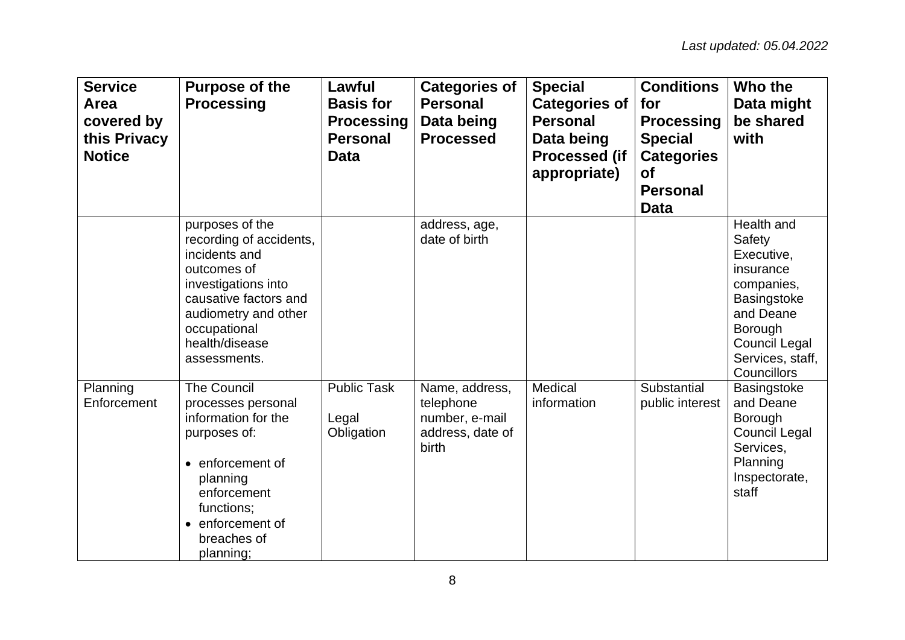| <b>Service</b><br>Area<br>covered by<br>this Privacy<br><b>Notice</b> | <b>Purpose of the</b><br><b>Processing</b>                                                                                                                                                           | Lawful<br><b>Basis for</b><br><b>Processing</b><br><b>Personal</b><br><b>Data</b> | <b>Categories of</b><br><b>Personal</b><br>Data being<br><b>Processed</b>  | <b>Special</b><br><b>Categories of</b><br><b>Personal</b><br>Data being<br><b>Processed (if</b><br>appropriate) | <b>Conditions</b><br>for<br><b>Processing</b><br><b>Special</b><br><b>Categories</b><br>Οf<br><b>Personal</b><br><b>Data</b> | Who the<br>Data might<br>be shared<br>with                                                                                                                      |
|-----------------------------------------------------------------------|------------------------------------------------------------------------------------------------------------------------------------------------------------------------------------------------------|-----------------------------------------------------------------------------------|----------------------------------------------------------------------------|-----------------------------------------------------------------------------------------------------------------|------------------------------------------------------------------------------------------------------------------------------|-----------------------------------------------------------------------------------------------------------------------------------------------------------------|
|                                                                       | purposes of the<br>recording of accidents,<br>incidents and<br>outcomes of<br>investigations into<br>causative factors and<br>audiometry and other<br>occupational<br>health/disease<br>assessments. |                                                                                   | address, age,<br>date of birth                                             |                                                                                                                 |                                                                                                                              | Health and<br>Safety<br>Executive,<br>insurance<br>companies,<br>Basingstoke<br>and Deane<br>Borough<br><b>Council Legal</b><br>Services, staff,<br>Councillors |
| Planning<br>Enforcement                                               | <b>The Council</b><br>processes personal<br>information for the<br>purposes of:<br>• enforcement of<br>planning<br>enforcement<br>functions;<br>• enforcement of<br>breaches of<br>planning;         | <b>Public Task</b><br>Legal<br>Obligation                                         | Name, address,<br>telephone<br>number, e-mail<br>address, date of<br>birth | Medical<br>information                                                                                          | Substantial<br>public interest                                                                                               | <b>Basingstoke</b><br>and Deane<br>Borough<br><b>Council Legal</b><br>Services,<br>Planning<br>Inspectorate,<br>staff                                           |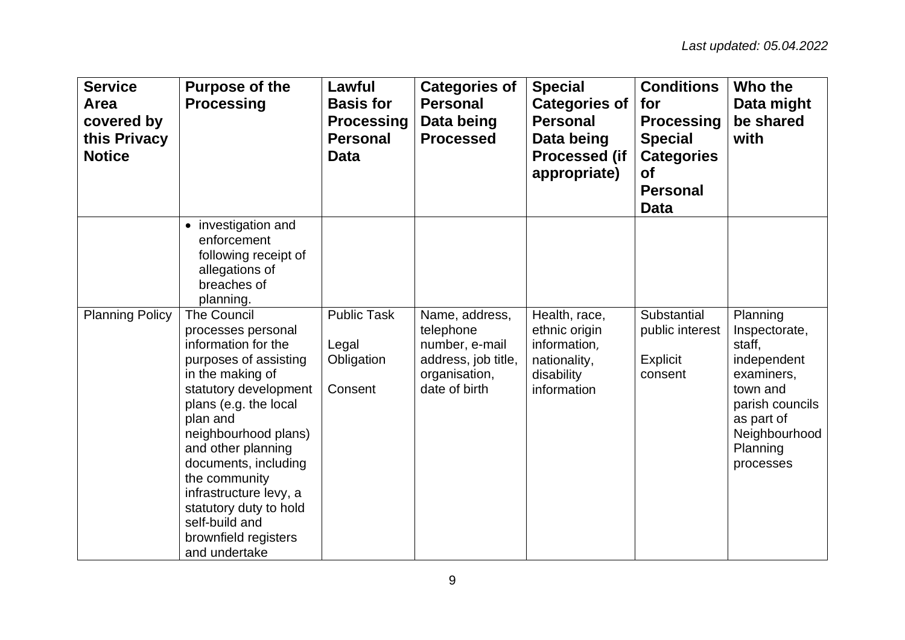| <b>Service</b><br>Area<br>covered by<br>this Privacy<br><b>Notice</b> | <b>Purpose of the</b><br><b>Processing</b>                                                                                                                                                                                                                                                                                                                                       | Lawful<br><b>Basis for</b><br><b>Processing</b><br><b>Personal</b><br><b>Data</b> | <b>Categories of</b><br><b>Personal</b><br>Data being<br><b>Processed</b>                              | <b>Special</b><br><b>Categories of</b><br><b>Personal</b><br>Data being<br><b>Processed (if</b><br>appropriate) | <b>Conditions</b><br>for<br><b>Processing</b><br><b>Special</b><br><b>Categories</b><br><b>of</b><br><b>Personal</b><br><b>Data</b> | Who the<br>Data might<br>be shared<br>with                                                                                                              |
|-----------------------------------------------------------------------|----------------------------------------------------------------------------------------------------------------------------------------------------------------------------------------------------------------------------------------------------------------------------------------------------------------------------------------------------------------------------------|-----------------------------------------------------------------------------------|--------------------------------------------------------------------------------------------------------|-----------------------------------------------------------------------------------------------------------------|-------------------------------------------------------------------------------------------------------------------------------------|---------------------------------------------------------------------------------------------------------------------------------------------------------|
|                                                                       | • investigation and<br>enforcement<br>following receipt of<br>allegations of<br>breaches of<br>planning.                                                                                                                                                                                                                                                                         |                                                                                   |                                                                                                        |                                                                                                                 |                                                                                                                                     |                                                                                                                                                         |
| <b>Planning Policy</b>                                                | <b>The Council</b><br>processes personal<br>information for the<br>purposes of assisting<br>in the making of<br>statutory development<br>plans (e.g. the local<br>plan and<br>neighbourhood plans)<br>and other planning<br>documents, including<br>the community<br>infrastructure levy, a<br>statutory duty to hold<br>self-build and<br>brownfield registers<br>and undertake | <b>Public Task</b><br>Legal<br>Obligation<br>Consent                              | Name, address,<br>telephone<br>number, e-mail<br>address, job title,<br>organisation,<br>date of birth | Health, race,<br>ethnic origin<br>information,<br>nationality,<br>disability<br>information                     | Substantial<br>public interest<br><b>Explicit</b><br>consent                                                                        | Planning<br>Inspectorate,<br>staff,<br>independent<br>examiners,<br>town and<br>parish councils<br>as part of<br>Neighbourhood<br>Planning<br>processes |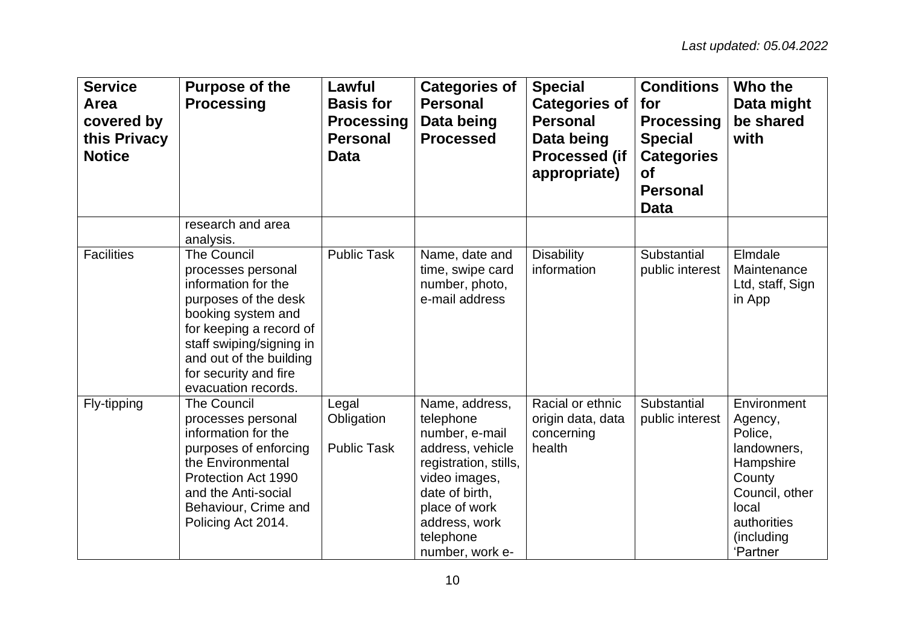| <b>Service</b><br>Area<br>covered by<br>this Privacy<br><b>Notice</b> | <b>Purpose of the</b><br><b>Processing</b>                                                                                                                                                                                               | Lawful<br><b>Basis for</b><br><b>Processing</b><br><b>Personal</b><br><b>Data</b> | <b>Categories of</b><br><b>Personal</b><br>Data being<br><b>Processed</b>                                                                                                                       | <b>Special</b><br><b>Categories of</b><br><b>Personal</b><br>Data being<br><b>Processed (if</b><br>appropriate) | <b>Conditions</b><br>for<br><b>Processing</b><br><b>Special</b><br><b>Categories</b><br><b>of</b><br><b>Personal</b><br><b>Data</b> | Who the<br>Data might<br>be shared<br>with                                                                                                  |
|-----------------------------------------------------------------------|------------------------------------------------------------------------------------------------------------------------------------------------------------------------------------------------------------------------------------------|-----------------------------------------------------------------------------------|-------------------------------------------------------------------------------------------------------------------------------------------------------------------------------------------------|-----------------------------------------------------------------------------------------------------------------|-------------------------------------------------------------------------------------------------------------------------------------|---------------------------------------------------------------------------------------------------------------------------------------------|
|                                                                       | research and area<br>analysis.                                                                                                                                                                                                           |                                                                                   |                                                                                                                                                                                                 |                                                                                                                 |                                                                                                                                     |                                                                                                                                             |
| <b>Facilities</b>                                                     | The Council<br>processes personal<br>information for the<br>purposes of the desk<br>booking system and<br>for keeping a record of<br>staff swiping/signing in<br>and out of the building<br>for security and fire<br>evacuation records. | <b>Public Task</b>                                                                | Name, date and<br>time, swipe card<br>number, photo,<br>e-mail address                                                                                                                          | <b>Disability</b><br>information                                                                                | Substantial<br>public interest                                                                                                      | Elmdale<br>Maintenance<br>Ltd, staff, Sign<br>in App                                                                                        |
| Fly-tipping                                                           | <b>The Council</b><br>processes personal<br>information for the<br>purposes of enforcing<br>the Environmental<br>Protection Act 1990<br>and the Anti-social<br>Behaviour, Crime and<br>Policing Act 2014.                                | Legal<br>Obligation<br><b>Public Task</b>                                         | Name, address,<br>telephone<br>number, e-mail<br>address, vehicle<br>registration, stills,<br>video images,<br>date of birth,<br>place of work<br>address, work<br>telephone<br>number, work e- | Racial or ethnic<br>origin data, data<br>concerning<br>health                                                   | Substantial<br>public interest                                                                                                      | Environment<br>Agency,<br>Police.<br>landowners,<br>Hampshire<br>County<br>Council, other<br>local<br>authorities<br>(including<br>'Partner |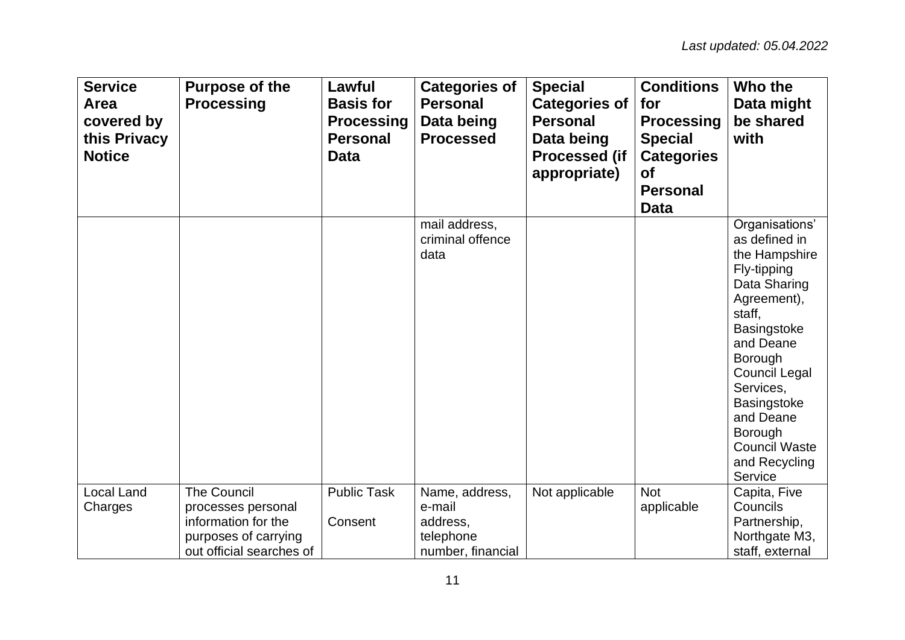| <b>Service</b><br>Area<br>covered by<br>this Privacy<br><b>Notice</b> | <b>Purpose of the</b><br><b>Processing</b>                                                                          | Lawful<br><b>Basis for</b><br><b>Processing</b><br><b>Personal</b><br><b>Data</b> | <b>Categories of</b><br><b>Personal</b><br>Data being<br><b>Processed</b> | <b>Special</b><br><b>Categories of</b><br><b>Personal</b><br>Data being<br><b>Processed (if</b><br>appropriate) | <b>Conditions</b><br>for<br><b>Processing</b><br><b>Special</b><br><b>Categories</b><br><b>of</b><br><b>Personal</b><br><b>Data</b> | Who the<br>Data might<br>be shared<br>with                                                                                                                                                                                                                                                    |
|-----------------------------------------------------------------------|---------------------------------------------------------------------------------------------------------------------|-----------------------------------------------------------------------------------|---------------------------------------------------------------------------|-----------------------------------------------------------------------------------------------------------------|-------------------------------------------------------------------------------------------------------------------------------------|-----------------------------------------------------------------------------------------------------------------------------------------------------------------------------------------------------------------------------------------------------------------------------------------------|
|                                                                       |                                                                                                                     |                                                                                   | mail address,<br>criminal offence<br>data                                 |                                                                                                                 |                                                                                                                                     | Organisations'<br>as defined in<br>the Hampshire<br>Fly-tipping<br>Data Sharing<br>Agreement),<br>staff,<br><b>Basingstoke</b><br>and Deane<br>Borough<br><b>Council Legal</b><br>Services,<br><b>Basingstoke</b><br>and Deane<br>Borough<br><b>Council Waste</b><br>and Recycling<br>Service |
| Local Land<br>Charges                                                 | <b>The Council</b><br>processes personal<br>information for the<br>purposes of carrying<br>out official searches of | <b>Public Task</b><br>Consent                                                     | Name, address,<br>e-mail<br>address,<br>telephone<br>number, financial    | Not applicable                                                                                                  | <b>Not</b><br>applicable                                                                                                            | Capita, Five<br>Councils<br>Partnership,<br>Northgate M3,<br>staff, external                                                                                                                                                                                                                  |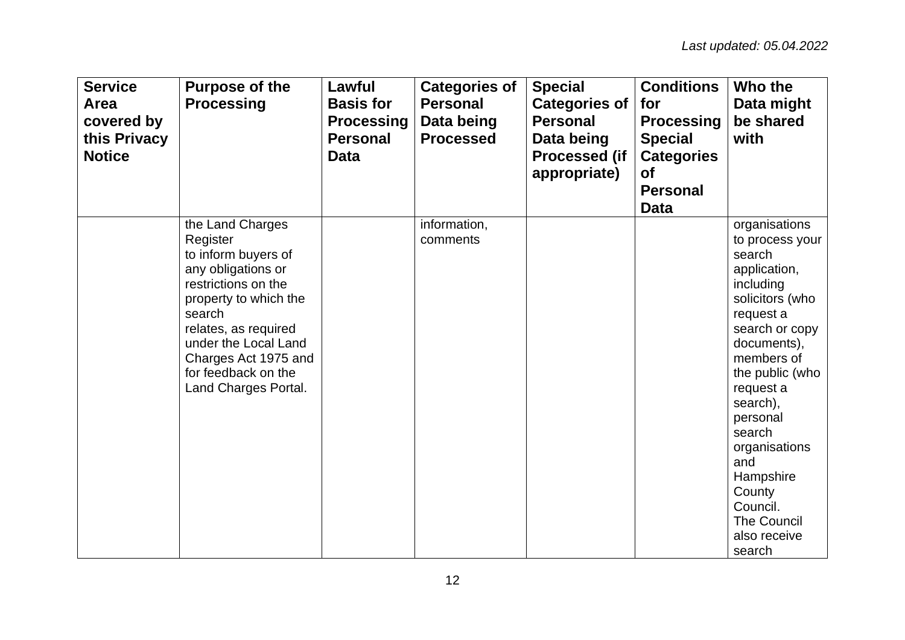| <b>Service</b><br>Area<br>covered by<br>this Privacy<br><b>Notice</b> | <b>Purpose of the</b><br><b>Processing</b>                                                                                                                                                                                                                 | Lawful<br><b>Basis for</b><br><b>Processing</b><br><b>Personal</b><br><b>Data</b> | <b>Categories of</b><br><b>Personal</b><br>Data being<br><b>Processed</b> | <b>Special</b><br><b>Categories of</b><br><b>Personal</b><br>Data being<br><b>Processed (if</b><br>appropriate) | <b>Conditions</b><br>for<br><b>Processing</b><br><b>Special</b><br><b>Categories</b><br><b>of</b><br><b>Personal</b><br><b>Data</b> | Who the<br>Data might<br>be shared<br>with                                                                                                                                                                                                                                                                                          |
|-----------------------------------------------------------------------|------------------------------------------------------------------------------------------------------------------------------------------------------------------------------------------------------------------------------------------------------------|-----------------------------------------------------------------------------------|---------------------------------------------------------------------------|-----------------------------------------------------------------------------------------------------------------|-------------------------------------------------------------------------------------------------------------------------------------|-------------------------------------------------------------------------------------------------------------------------------------------------------------------------------------------------------------------------------------------------------------------------------------------------------------------------------------|
|                                                                       | the Land Charges<br>Register<br>to inform buyers of<br>any obligations or<br>restrictions on the<br>property to which the<br>search<br>relates, as required<br>under the Local Land<br>Charges Act 1975 and<br>for feedback on the<br>Land Charges Portal. |                                                                                   | information,<br>comments                                                  |                                                                                                                 |                                                                                                                                     | organisations<br>to process your<br>search<br>application,<br>including<br>solicitors (who<br>request a<br>search or copy<br>documents),<br>members of<br>the public (who<br>request a<br>search),<br>personal<br>search<br>organisations<br>and<br>Hampshire<br>County<br>Council.<br><b>The Council</b><br>also receive<br>search |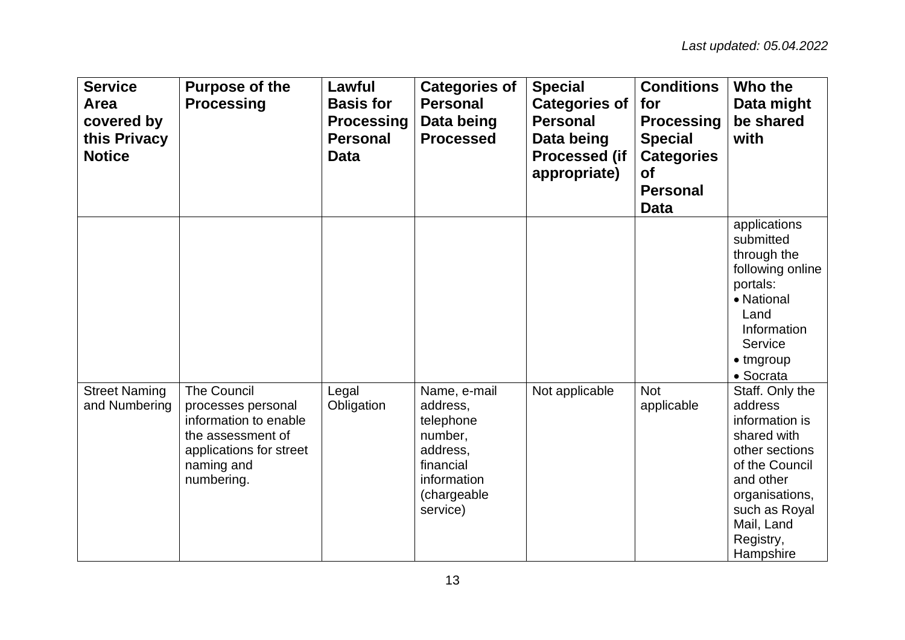| <b>Service</b><br>Area<br>covered by<br>this Privacy<br><b>Notice</b> | <b>Purpose of the</b><br><b>Processing</b>                                                                                                    | Lawful<br><b>Basis for</b><br><b>Processing</b><br><b>Personal</b><br><b>Data</b> | <b>Categories of</b><br><b>Personal</b><br>Data being<br><b>Processed</b>                                           | <b>Special</b><br><b>Categories of</b><br><b>Personal</b><br>Data being<br><b>Processed (if</b><br>appropriate) | <b>Conditions</b><br>for<br><b>Processing</b><br><b>Special</b><br><b>Categories</b><br><b>of</b><br><b>Personal</b><br><b>Data</b> | Who the<br>Data might<br>be shared<br>with                                                                                                                                              |
|-----------------------------------------------------------------------|-----------------------------------------------------------------------------------------------------------------------------------------------|-----------------------------------------------------------------------------------|---------------------------------------------------------------------------------------------------------------------|-----------------------------------------------------------------------------------------------------------------|-------------------------------------------------------------------------------------------------------------------------------------|-----------------------------------------------------------------------------------------------------------------------------------------------------------------------------------------|
|                                                                       |                                                                                                                                               |                                                                                   |                                                                                                                     |                                                                                                                 |                                                                                                                                     | applications<br>submitted<br>through the<br>following online<br>portals:<br>• National<br>Land<br>Information<br>Service<br>$\bullet$ tmgroup<br>• Socrata                              |
| <b>Street Naming</b><br>and Numbering                                 | <b>The Council</b><br>processes personal<br>information to enable<br>the assessment of<br>applications for street<br>naming and<br>numbering. | Legal<br>Obligation                                                               | Name, e-mail<br>address,<br>telephone<br>number,<br>address,<br>financial<br>information<br>(chargeable<br>service) | Not applicable                                                                                                  | <b>Not</b><br>applicable                                                                                                            | Staff. Only the<br>address<br>information is<br>shared with<br>other sections<br>of the Council<br>and other<br>organisations,<br>such as Royal<br>Mail, Land<br>Registry,<br>Hampshire |